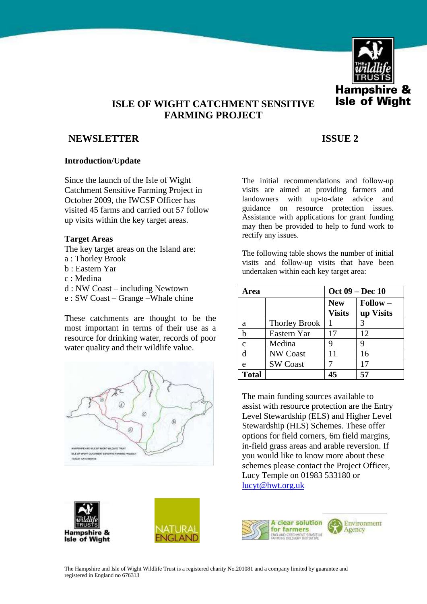

# **ISLE OF WIGHT CATCHMENT SENSITIVE FARMING PROJECT**

# **NEWSLETTER ISSUE 2**

### **Introduction/Update**

Since the launch of the Isle of Wight Catchment Sensitive Farming Project in October 2009, the IWCSF Officer has visited 45 farms and carried out 57 follow up visits within the key target areas.

### **Target Areas**

- The key target areas on the Island are:
- a : Thorley Brook
- b : Eastern Yar
- c : Medina
- d : NW Coast including Newtown
- e : SW Coast Grange –Whale chine

These catchments are thought to be the most important in terms of their use as a resource for drinking water, records of poor water quality and their wildlife value.



Hampshire & **Isle of Wight** 



The initial recommendations and follow-up visits are aimed at providing farmers and landowners with up-to-date advice and guidance on resource protection issues. Assistance with applications for grant funding may then be provided to help to fund work to rectify any issues.

The following table shows the number of initial visits and follow-up visits that have been undertaken within each key target area:

| <b>Area</b>  |                      | Oct 09 – Dec 10             |                                |
|--------------|----------------------|-----------------------------|--------------------------------|
|              |                      | <b>New</b><br><b>Visits</b> | $\text{Follow} -$<br>up Visits |
| a            | <b>Thorley Brook</b> |                             | 3                              |
| b            | Eastern Yar          | 17                          | 12                             |
| $\mathbf{c}$ | Medina               | 9                           | 9                              |
| d            | <b>NW Coast</b>      | 11                          | 16                             |
| e            | <b>SW Coast</b>      |                             | 17                             |
| <b>Total</b> |                      | 45                          | 57                             |

The main funding sources available to assist with resource protection are the Entry Level Stewardship (ELS) and Higher Level Stewardship (HLS) Schemes. These offer options for field corners, 6m field margins, in-field grass areas and arable reversion. If you would like to know more about these schemes please contact the Project Officer, Lucy Temple on 01983 533180 or [lucyt@hwt.org.uk](mailto:lucyt@hwt.org.uk) 



The Hampshire and Isle of Wight Wildlife Trust is a registered charity No.201081 and a company limited by guarantee and registered in England no 676313